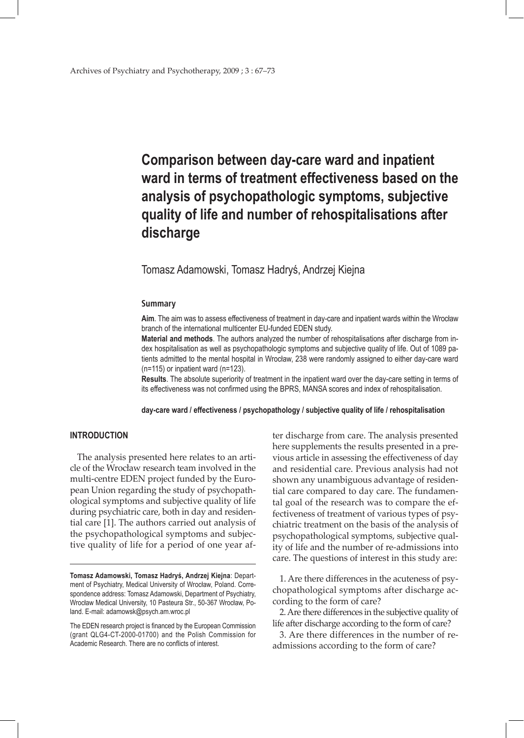# **Comparison between day-care ward and inpatient ward in terms of treatment effectiveness based on the analysis of psychopathologic symptoms, subjective quality of life and number of rehospitalisations after discharge**

# Tomasz Adamowski, Tomasz Hadryś, Andrzej Kiejna

## **Summary**

**Aim**. The aim was to assess effectiveness of treatment in day-care and inpatient wards within the Wrocław branch of the international multicenter EU-funded EDEN study.

**Material and methods**. The authors analyzed the number of rehospitalisations after discharge from index hospitalisation as well as psychopathologic symptoms and subjective quality of life. Out of 1089 patients admitted to the mental hospital in Wrocław, 238 were randomly assigned to either day-care ward (n=115) or inpatient ward (n=123).

**Results**. The absolute superiority of treatment in the inpatient ward over the day-care setting in terms of its effectiveness was not confirmed using the BPRS, MANSA scores and index of rehospitalisation.

#### **day-care ward / effectiveness / psychopathology / subjective quality of life / rehospitalisation**

## **INTRODUCTION**

The analysis presented here relates to an article of the Wrocław research team involved in the multi-centre EDEN project funded by the European Union regarding the study of psychopathological symptoms and subjective quality of life during psychiatric care, both in day and residential care [1]. The authors carried out analysis of the psychopathological symptoms and subjective quality of life for a period of one year after discharge from care. The analysis presented here supplements the results presented in a previous article in assessing the effectiveness of day and residential care. Previous analysis had not shown any unambiguous advantage of residential care compared to day care. The fundamental goal of the research was to compare the effectiveness of treatment of various types of psychiatric treatment on the basis of the analysis of psychopathological symptoms, subjective quality of life and the number of re-admissions into care. The questions of interest in this study are:

1. Are there differences in the acuteness of psychopathological symptoms after discharge according to the form of care?

2. Are there differences in the subjective quality of life after discharge according to the form of care?

3. Are there differences in the number of readmissions according to the form of care?

**Tomasz Adamowski, Tomasz Hadryś, Andrzej Kiejna**: Department of Psychiatry, Medical University of Wrocław, Poland. Correspondence address: Tomasz Adamowski, Department of Psychiatry, Wrocław Medical University, 10 Pasteura Str., 50-367 Wrocław, Poland. E-mail: adamowsk@psych.am.wroc.pl

The EDEN research project is financed by the European Commission (grant QLG4-CT-2000-01700) and the Polish Commission for Academic Research. There are no conflicts of interest.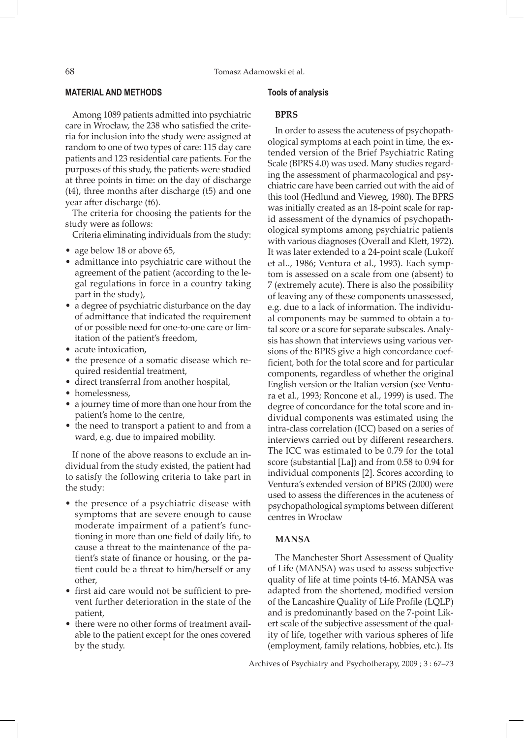# **MATERIAL AND METHODS**

Among 1089 patients admitted into psychiatric care in Wrocław, the 238 who satisfied the criteria for inclusion into the study were assigned at random to one of two types of care: 115 day care patients and 123 residential care patients. For the purposes of this study, the patients were studied at three points in time: on the day of discharge (t4), three months after discharge (t5) and one year after discharge (t6).

The criteria for choosing the patients for the study were as follows:

Criteria eliminating individuals from the study:

- age below 18 or above 65,
- • admittance into psychiatric care without the agreement of the patient (according to the legal regulations in force in a country taking part in the study),
- a degree of psychiatric disturbance on the day of admittance that indicated the requirement of or possible need for one-to-one care or limitation of the patient's freedom,
- acute intoxication,
- the presence of a somatic disease which required residential treatment,
- direct transferral from another hospital,
- homelessness,
- a journey time of more than one hour from the patient's home to the centre,
- the need to transport a patient to and from a ward, e.g. due to impaired mobility.

If none of the above reasons to exclude an individual from the study existed, the patient had to satisfy the following criteria to take part in the study:

- the presence of a psychiatric disease with symptoms that are severe enough to cause moderate impairment of a patient's functioning in more than one field of daily life, to cause a threat to the maintenance of the patient's state of finance or housing, or the patient could be a threat to him/herself or any other,
- first aid care would not be sufficient to prevent further deterioration in the state of the patient,
- there were no other forms of treatment available to the patient except for the ones covered by the study.

#### **Tools of analysis**

#### **BPRS**

In order to assess the acuteness of psychopathological symptoms at each point in time, the extended version of the Brief Psychiatric Rating Scale (BPRS 4.0) was used. Many studies regarding the assessment of pharmacological and psychiatric care have been carried out with the aid of this tool (Hedlund and Vieweg, 1980). The BPRS was initially created as an 18-point scale for rapid assessment of the dynamics of psychopathological symptoms among psychiatric patients with various diagnoses (Overall and Klett, 1972). It was later extended to a 24-point scale (Lukoff et al.., 1986; Ventura et al., 1993). Each symptom is assessed on a scale from one (absent) to 7 (extremely acute). There is also the possibility of leaving any of these components unassessed, e.g. due to a lack of information. The individual components may be summed to obtain a total score or a score for separate subscales. Analysis has shown that interviews using various versions of the BPRS give a high concordance coefficient, both for the total score and for particular components, regardless of whether the original English version or the Italian version (see Ventura et al., 1993; Roncone et al., 1999) is used. The degree of concordance for the total score and individual components was estimated using the intra-class correlation (ICC) based on a series of interviews carried out by different researchers. The ICC was estimated to be 0.79 for the total score (substantial [La]) and from 0.58 to 0.94 for individual components [2]. Scores according to Ventura's extended version of BPRS (2000) were used to assess the differences in the acuteness of psychopathological symptoms between different centres in Wrocław

# **MANSA**

The Manchester Short Assessment of Quality of Life (MANSA) was used to assess subjective quality of life at time points t4-t6. MANSA was adapted from the shortened, modified version of the Lancashire Quality of Life Profile (LQLP) and is predominantly based on the 7-point Likert scale of the subjective assessment of the quality of life, together with various spheres of life (employment, family relations, hobbies, etc.). Its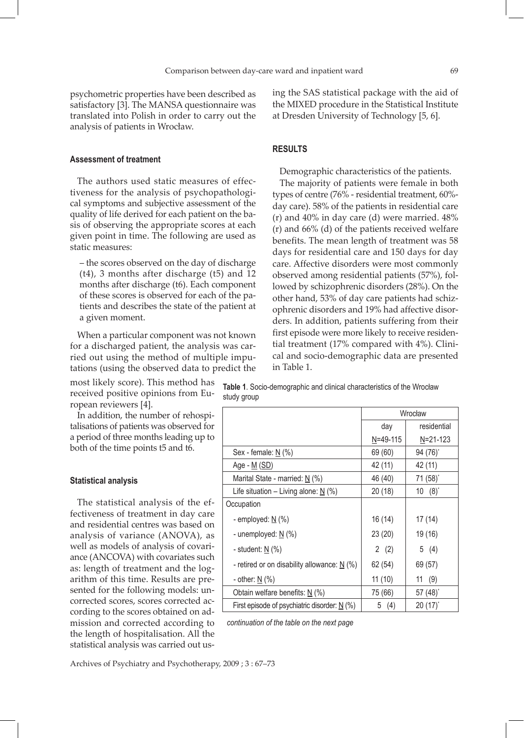psychometric properties have been described as satisfactory [3]. The MANSA questionnaire was translated into Polish in order to carry out the analysis of patients in Wrocław.

## **Assessment of treatment**

The authors used static measures of effectiveness for the analysis of psychopathological symptoms and subjective assessment of the quality of life derived for each patient on the basis of observing the appropriate scores at each given point in time. The following are used as static measures:

– the scores observed on the day of discharge (t4), 3 months after discharge (t5) and 12 months after discharge (t6). Each component of these scores is observed for each of the patients and describes the state of the patient at a given moment.

When a particular component was not known for a discharged patient, the analysis was carried out using the method of multiple imputations (using the observed data to predict the

most likely score). This method has received positive opinions from European reviewers [4].

In addition, the number of rehospitalisations of patients was observed for a period of three months leading up to both of the time points t5 and t6.

#### **Statistical analysis**

The statistical analysis of the effectiveness of treatment in day care and residential centres was based on analysis of variance (ANOVA), as well as models of analysis of covariance (ANCOVA) with covariates such as: length of treatment and the logarithm of this time. Results are presented for the following models: uncorrected scores, scores corrected according to the scores obtained on admission and corrected according to the length of hospitalisation. All the statistical analysis was carried out using the SAS statistical package with the aid of the MIXED procedure in the Statistical Institute at Dresden University of Technology [5, 6].

# **RESULTS**

Demographic characteristics of the patients.

The majority of patients were female in both types of centre (76% - residential treatment, 60% day care). 58% of the patients in residential care (r) and 40% in day care (d) were married. 48% (r) and 66% (d) of the patients received welfare benefits. The mean length of treatment was 58 days for residential care and 150 days for day care. Affective disorders were most commonly observed among residential patients (57%), followed by schizophrenic disorders (28%). On the other hand, 53% of day care patients had schizophrenic disorders and 19% had affective disorders. In addition, patients suffering from their first episode were more likely to receive residential treatment (17% compared with 4%). Clinical and socio-demographic data are presented in Table 1.

**Table 1**. Socio-demographic and clinical characteristics of the Wrocław study group

|                                                           | Wrocław  |                |  |
|-----------------------------------------------------------|----------|----------------|--|
|                                                           | day      | residential    |  |
|                                                           | N=49-115 | $N = 21 - 123$ |  |
| Sex - female: $\underline{N}$ (%)                         | 69 (60)  | $94 (76)^*$    |  |
| Age - <u>M</u> (SD)                                       | 42 (11)  | 42 (11)        |  |
| Marital State - married: $N$ (%)                          | 46 (40)  | 71 (58)*       |  |
| Life situation – Living alone: $N$ (%)                    | 20(18)   | $10(8)^{*}$    |  |
| Occupation                                                |          |                |  |
| - employed: $\underline{N}$ (%)                           | 16 (14)  | 17(14)         |  |
| - unemployed: $\underline{N}$ (%)                         | 23(20)   | 19 (16)        |  |
| - student: $\underline{N}$ (%)                            | 2(2)     | 5 (4)          |  |
| - retired or on disability allowance: $\underline{N}$ (%) | 62 (54)  | 69 (57)        |  |
| - other: $\underline{N}$ (%)                              | 11(10)   | (9)<br>11      |  |
| Obtain welfare benefits: $N$ (%)                          | 75 (66)  | 57 $(48)^{*}$  |  |
| First episode of psychiatric disorder: $N(\%)$            | 5 (4)    | $20(17)^*$     |  |

*continuation of the table on the next page*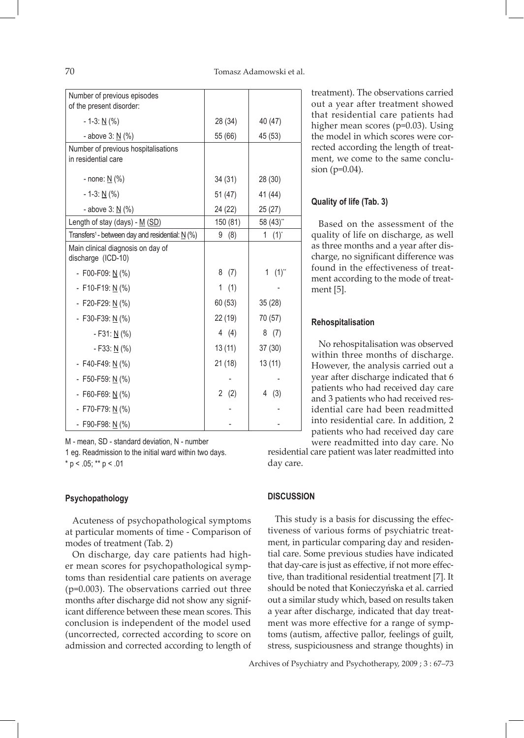| Number of previous episodes<br>of the present disorder:      |          |                |
|--------------------------------------------------------------|----------|----------------|
| $-1-3: N(%)$                                                 | 28 (34)  | 40 (47)        |
| - above 3: N (%)                                             | 55 (66)  | 45 (53)        |
| Number of previous hospitalisations<br>in residential care   |          |                |
| - none: <u>N</u> (%)                                         | 34(31)   | 28 (30)        |
| $-1-3: N(%)$                                                 | 51(47)   | 41 (44)        |
| - above 3: N (%)                                             | 24 (22)  | 25 (27)        |
| Length of stay (days) - M (SD)                               | 150 (81) | 58 (43)**      |
| Transfers <sup>1</sup> - between day and residential: $N(%)$ | 9<br>(8) | $(1)^{*}$<br>1 |
| Main clinical diagnosis on day of<br>discharge (ICD-10)      |          |                |
| - F00-F09: $N(%)$                                            | 8<br>(7) | 1 $(1)^{**}$   |
| - F10-F19: $N(%)$                                            | 1<br>(1) |                |
| - F20-F29: $N(%)$                                            | 60(53)   | 35(28)         |
| - F30-F39: $N(%)$                                            | 22 (19)  | 70 (57)        |
| $-F31: N(%)$                                                 | 4 $(4)$  | 8(7)           |
| - F33: $\underline{N}$ (%)                                   | 13(11)   | 37(30)         |
| - F40-F49: $N(%)$                                            | 21(18)   | 13(11)         |
| - F50-F59: N (%)                                             |          |                |
| - F60-F69: $N(%)$                                            | 2<br>(2) | 4<br>(3)       |
| - F70-F79: $N(%)$                                            |          |                |
| - F90-F98: <u>N</u> (%)                                      |          |                |

M - mean, SD - standard deviation, N - number

1 eg. Readmission to the initial ward within two days.  $*$  p < .05;  $**$  p < .01

#### **Psychopathology**

Acuteness of psychopathological symptoms at particular moments of time - Comparison of modes of treatment (Tab. 2)

On discharge, day care patients had higher mean scores for psychopathological symptoms than residential care patients on average (p=0.003). The observations carried out three months after discharge did not show any significant difference between these mean scores. This conclusion is independent of the model used (uncorrected, corrected according to score on admission and corrected according to length of

treatment). The observations carried out a year after treatment showed that residential care patients had higher mean scores (p=0.03). Using the model in which scores were corrected according the length of treatment, we come to the same conclusion (p=0.04).

## **Quality of life (Tab. 3)**

Based on the assessment of the quality of life on discharge, as well as three months and a year after discharge, no significant difference was found in the effectiveness of treatment according to the mode of treatment [5].

#### **Rehospitalisation**

No rehospitalisation was observed within three months of discharge. However, the analysis carried out a year after discharge indicated that 6 patients who had received day care and 3 patients who had received residential care had been readmitted into residential care. In addition, 2 patients who had received day care were readmitted into day care. No

residential care patient was later readmitted into day care.

## **DISCUSSION**

This study is a basis for discussing the effectiveness of various forms of psychiatric treatment, in particular comparing day and residential care. Some previous studies have indicated that day-care is just as effective, if not more effective, than traditional residential treatment [7]. It should be noted that Konieczyńska et al. carried out a similar study which, based on results taken a year after discharge, indicated that day treatment was more effective for a range of symptoms (autism, affective pallor, feelings of guilt, stress, suspiciousness and strange thoughts) in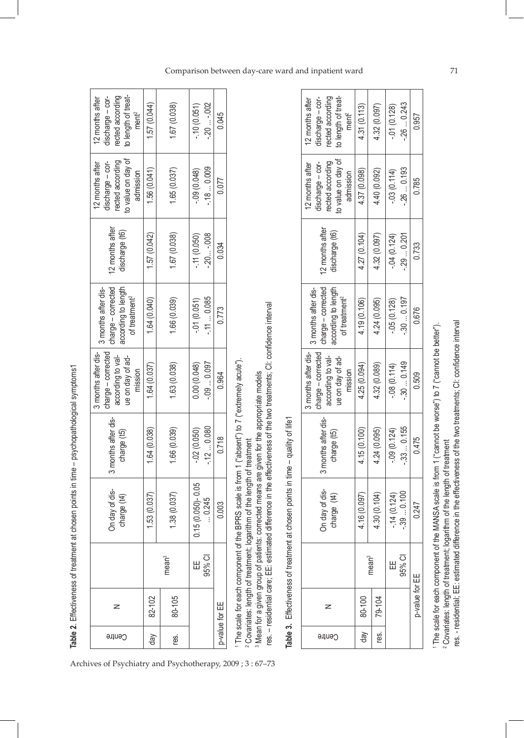| Centre      | z              |                   | On day of dis-<br>charge (t4)                                                                 | nonths after dis-<br>charge (t5)<br>۳<br>و | charge - corrected<br>3 months after dis-<br>according to val-<br>ue on day of ad-<br>mission | charge - corrected<br>according to length<br>3 months after dis-<br>of treatment <sup>2</sup> | 12 months after<br>discharge (t6) | to value on day of<br>rected according<br>discharge - cor-<br>12 months after<br>admission | to length of treat-<br>rected according<br>discharge - cor-<br>12 months after<br>ment <sup>2</sup> |
|-------------|----------------|-------------------|-----------------------------------------------------------------------------------------------|--------------------------------------------|-----------------------------------------------------------------------------------------------|-----------------------------------------------------------------------------------------------|-----------------------------------|--------------------------------------------------------------------------------------------|-----------------------------------------------------------------------------------------------------|
| $\sqrt{90}$ | 82-102         |                   | 1.53(0.037)                                                                                   | 1.64 (0.038)                               | 1.64 (0.037)                                                                                  | 1.64 (0.040)                                                                                  | (0.042)                           | 1.56(0.041)                                                                                | 1.57(0.044)                                                                                         |
| res.        | 80-105         | mean <sup>3</sup> | 1.38(0.037)                                                                                   | 1.66 (0.039)                               | 1.63 (0.038)                                                                                  | 1.66 (0.039)                                                                                  | 1.67 (0.038)                      | 1.65(0.037)                                                                                | 1.67 (0.038)                                                                                        |
|             |                | Ш                 | $0.15(0.050) - 0.05$                                                                          | $-0.050$                                   | 0.00 (0.048)                                                                                  | $-01(0.051)$                                                                                  | $-11(0.050)$                      | $-0.09(0.048)$                                                                             | $-10(0.051)$                                                                                        |
|             |                | 95% CI            | $-0.245$                                                                                      | $-120.080$                                 | $-0.090.097$                                                                                  | $-110.085$                                                                                    | $-20 -008$                        | $-180.009$                                                                                 | $-20 -002$                                                                                          |
|             | p-value for EE |                   | 0.003                                                                                         | 0.718                                      | 0.964                                                                                         | 0.773                                                                                         | 0.034                             | 0.077                                                                                      | 0.045                                                                                               |
|             |                |                   | The scale for each component of the BPRS scale is from 1 ("absent") to 7 ("extremely acute"). |                                            |                                                                                               |                                                                                               |                                   |                                                                                            |                                                                                                     |

**Table 2**. Effectiveness of treatment at chosen points in time – psychopathological symptoms1

Table 2. Effectiveness of treatment at chosen points in time - psychopathological symptoms1

Archives of Psychiatry and Psychotherapy, 2009 ; 3 : 67–73

<sup>2</sup> Covariates: length of treatment; logarithm of the length of treatment 2 Covariates: length of treatment; logarithm of the length of treatment

res. - residential care; EE: estimated difference in the effectiveness of the two treatments; CI: confidence interval res. – residential care; EE: estimated difference in the effectiveness of the two treatments; CI: confidence interval <sup>8</sup> Mean for a given group of patients: corrected means are given for the appropriate models 3 Mean for a given group of patients: corrected means are given for the appropriate models

Table 3. Effectiveness of treatment at chosen points in time - quality of life1

**Table 3.** Effectiveness of treatment at chosen points in time – quality of life1

| to length of treat-<br>rected according<br>discharge-cor-<br>12 months after<br>ment <sup>2</sup> | 4.31 (0.113)      | 4.32 (0.097) | $-0.01(0.128)$ | $-260.243$                 | 0.957          |
|---------------------------------------------------------------------------------------------------|-------------------|--------------|----------------|----------------------------|----------------|
| to value on day of<br>ected according<br>discharge - cor-<br>12 months after<br>admission         | 4.37 (0.098)      | 4.40 (0.092) | $-0.03(0.114)$ | $-260.193$                 | 0.785          |
| 12 months after<br>discharge (t6)                                                                 | 4.27 (0.104)      | 4.32 (0.097) | $-04(0.124)$   | .290.201                   | 0.733          |
| charge - corrected<br>according to length<br>3 months after dis-<br>of treatment <sup>2</sup>     | 4.19 (0.106)      | 4.24 (0.095) | $-0.05(0.128)$ | $-300.197$                 | 0.676          |
| charge - corrected<br>3 months after dis-<br>according to val-<br>ue on day of ad-<br>mission     | 4.25 (0.094)      | 4.32 (0.089) | $-0.08(0.114)$ | $-300.149$                 | 0.509          |
| months after dis-<br>charge (t5)                                                                  | 4.15(0.100)       | 4.24 (0.095) | $-0.09(0.124)$ | $-330.155$                 | 0.475          |
| On day of dis-<br>charge (t4)                                                                     | 4.16(0.097)       | 4.30 (0.104) |                | $-14(0.124)$<br>$-390.100$ | 0.247          |
|                                                                                                   | mean <sup>3</sup> |              | Ш              | 95% CI                     |                |
| z                                                                                                 | day   $80-100$    | 79-104       |                |                            | p-value for EE |
| Centre                                                                                            |                   | res.         |                |                            |                |

The scale for each component of the MANSA scale is from 1 ("cannot be worse") to 7 ("cannot be better"). 1 The scale for each component of the MANSA scale is from 1 ("cannot be worse") to 7 ("cannot be better").

<sup>2</sup> Covariates: length of treatment; logarithm of the length of treatment 2 Covariates: length of treatment; logarithm of the length of treatment

res. - residential; EE: estimated difference in the effectiveness of the two treatments; CI: confidence interval res. - residential; EE: estimated difference in the effectiveness of the two treatments; CI: confidence interval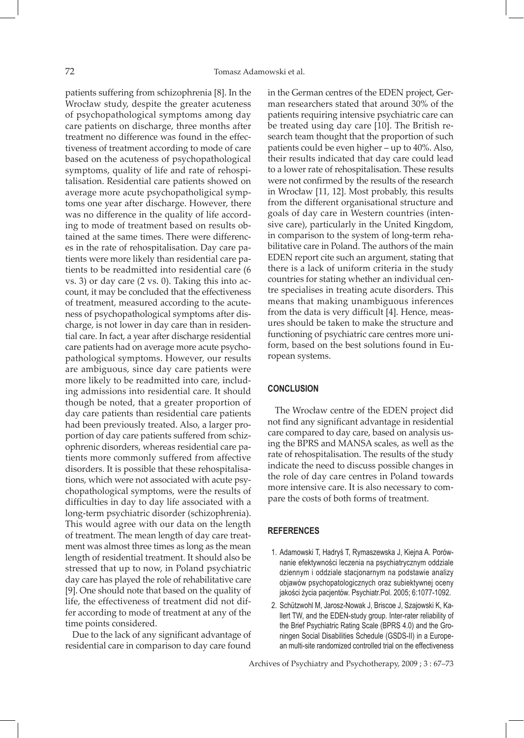patients suffering from schizophrenia [8]. In the Wrocław study, despite the greater acuteness of psychopathological symptoms among day care patients on discharge, three months after treatment no difference was found in the effectiveness of treatment according to mode of care based on the acuteness of psychopathological symptoms, quality of life and rate of rehospitalisation. Residential care patients showed on average more acute psychopatholigical symptoms one year after discharge. However, there was no difference in the quality of life according to mode of treatment based on results obtained at the same times. There were differences in the rate of rehospitalisation. Day care patients were more likely than residential care patients to be readmitted into residential care (6 vs. 3) or day care (2 vs. 0). Taking this into account, it may be concluded that the effectiveness of treatment, measured according to the acuteness of psychopathological symptoms after discharge, is not lower in day care than in residential care. In fact, a year after discharge residential care patients had on average more acute psychopathological symptoms. However, our results are ambiguous, since day care patients were more likely to be readmitted into care, including admissions into residential care. It should though be noted, that a greater proportion of day care patients than residential care patients had been previously treated. Also, a larger proportion of day care patients suffered from schizophrenic disorders, whereas residential care patients more commonly suffered from affective disorders. It is possible that these rehospitalisations, which were not associated with acute psychopathological symptoms, were the results of difficulties in day to day life associated with a long-term psychiatric disorder (schizophrenia). This would agree with our data on the length of treatment. The mean length of day care treatment was almost three times as long as the mean length of residential treatment. It should also be stressed that up to now, in Poland psychiatric day care has played the role of rehabilitative care [9]. One should note that based on the quality of life, the effectiveness of treatment did not differ according to mode of treatment at any of the time points considered.

Due to the lack of any significant advantage of residential care in comparison to day care found

in the German centres of the EDEN project, German researchers stated that around 30% of the patients requiring intensive psychiatric care can be treated using day care [10]. The British research team thought that the proportion of such patients could be even higher – up to 40%. Also, their results indicated that day care could lead to a lower rate of rehospitalisation. These results were not confirmed by the results of the research in Wrocław [11, 12]. Most probably, this results from the different organisational structure and goals of day care in Western countries (intensive care), particularly in the United Kingdom, in comparison to the system of long-term rehabilitative care in Poland. The authors of the main EDEN report cite such an argument, stating that there is a lack of uniform criteria in the study countries for stating whether an individual centre specialises in treating acute disorders. This means that making unambiguous inferences from the data is very difficult [4]. Hence, measures should be taken to make the structure and functioning of psychiatric care centres more uniform, based on the best solutions found in European systems.

# **CONCLUSION**

The Wrocław centre of the EDEN project did not find any significant advantage in residential care compared to day care, based on analysis using the BPRS and MANSA scales, as well as the rate of rehospitalisation. The results of the study indicate the need to discuss possible changes in the role of day care centres in Poland towards more intensive care. It is also necessary to compare the costs of both forms of treatment.

#### **References**

- 1. Adamowski T, Hadryś T, Rymaszewska J, Kiejna A. Porównanie efektywności leczenia na psychiatrycznym oddziale dziennym i oddziale stacjonarnym na podstawie analizy objawów psychopatologicznych oraz subiektywnej oceny jakości życia pacjentów. Psychiatr.Pol. 2005; 6:1077-1092.
- 2. Schützwohl M, Jarosz-Nowak J, Briscoe J, Szajowski K, Kallert TW, and the EDEN-study group. Inter-rater reliability of the Brief Psychiatric Rating Scale (BPRS 4.0) and the Groningen Social Disabilities Schedule (GSDS-II) in a European multi-site randomized controlled trial on the effectiveness